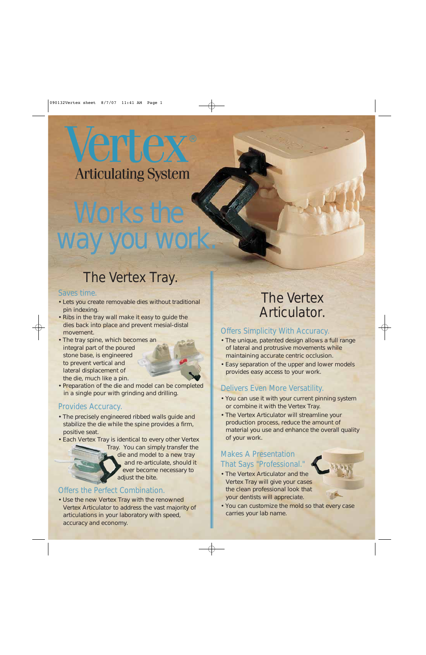# Verrex **Articulating System**

# Works the way you work.

# The Vertex Tray.

### Saves time.

- Lets you create removable dies without traditional pin indexing.
- Ribs in the tray wall make it easy to guide the dies back into place and prevent mesial-distal movement.
- The tray spine, which becomes an integral part of the poured stone base, is engineered to prevent vertical and lateral displacement of the die, much like a pin.



• Preparation of the die and model can be completed in a single pour with grinding and drilling.

### Provides Accuracy.

- The precisely engineered ribbed walls guide and stabilize the die while the spine provides a firm, positive seat.
- Each Vertex Tray is identical to every other Vertex



### Offers the Perfect Combination.

• Use the new Vertex Tray with the renowned Vertex Articulator to address the vast majority of articulations in your laboratory with speed, accuracy and economy.

## The Vertex Articulator.

### Offers Simplicity With Accuracy.

- The unique, patented design allows a full range of lateral and protrusive movements while maintaining accurate centric occlusion.
- Easy separation of the upper and lower models provides easy access to your work.

### Delivers Even More Versatility.

- You can use it with your current pinning system or combine it with the Vertex Tray.
- The Vertex Articulator will streamline your production process, reduce the amount of material you use and enhance the overall quality of your work.

### Makes A Presentation That Says "Professional."

• The Vertex Articulator and the Vertex Tray will give your cases the clean professional look that your dentists will appreciate.